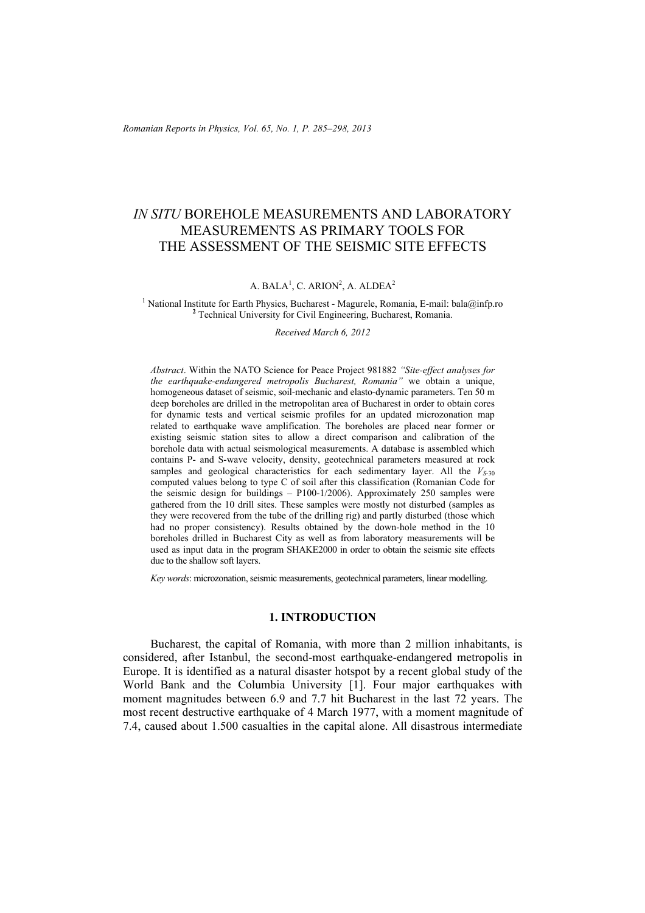# *IN SITU* BOREHOLE MEASUREMENTS AND LABORATORY MEASUREMENTS AS PRIMARY TOOLS FOR THE ASSESSMENT OF THE SEISMIC SITE EFFECTS

### A. BALA<sup>1</sup>, C. ARION<sup>2</sup>, A. ALDEA<sup>2</sup>

<sup>1</sup> National Institute for Earth Physics, Bucharest - Magurele, Romania, E-mail: bala@infp.ro <sup>2</sup> Technical University for Civil Engineering, Bucharest, Bomania <sup>2</sup> Technical University for Civil Engineering, Bucharest, Romania.

*Received March 6, 2012*

*Abstract*. Within the NATO Science for Peace Project 981882 *"Site-effect analyses for the earthquake-endangered metropolis Bucharest, Romania"* we obtain a unique, homogeneous dataset of seismic, soil-mechanic and elasto-dynamic parameters. Ten 50 m deep boreholes are drilled in the metropolitan area of Bucharest in order to obtain cores for dynamic tests and vertical seismic profiles for an updated microzonation map related to earthquake wave amplification. The boreholes are placed near former or existing seismic station sites to allow a direct comparison and calibration of the borehole data with actual seismological measurements. A database is assembled which contains P- and S-wave velocity, density, geotechnical parameters measured at rock samples and geological characteristics for each sedimentary layer. All the  $V_{S-30}$ computed values belong to type C of soil after this classification (Romanian Code for the seismic design for buildings – P100-1/2006). Approximately 250 samples were gathered from the 10 drill sites. These samples were mostly not disturbed (samples as they were recovered from the tube of the drilling rig) and partly disturbed (those which had no proper consistency). Results obtained by the down-hole method in the 10 boreholes drilled in Bucharest City as well as from laboratory measurements will be used as input data in the program SHAKE2000 in order to obtain the seismic site effects due to the shallow soft layers.

*Key words*: microzonation, seismic measurements, geotechnical parameters, linear modelling.

### **1. INTRODUCTION**

Bucharest, the capital of Romania, with more than 2 million inhabitants, is considered, after Istanbul, the second-most earthquake-endangered metropolis in Europe. It is identified as a natural disaster hotspot by a recent global study of the World Bank and the Columbia University [1]. Four major earthquakes with moment magnitudes between 6.9 and 7.7 hit Bucharest in the last 72 years. The most recent destructive earthquake of 4 March 1977, with a moment magnitude of 7.4, caused about 1.500 casualties in the capital alone. All disastrous intermediate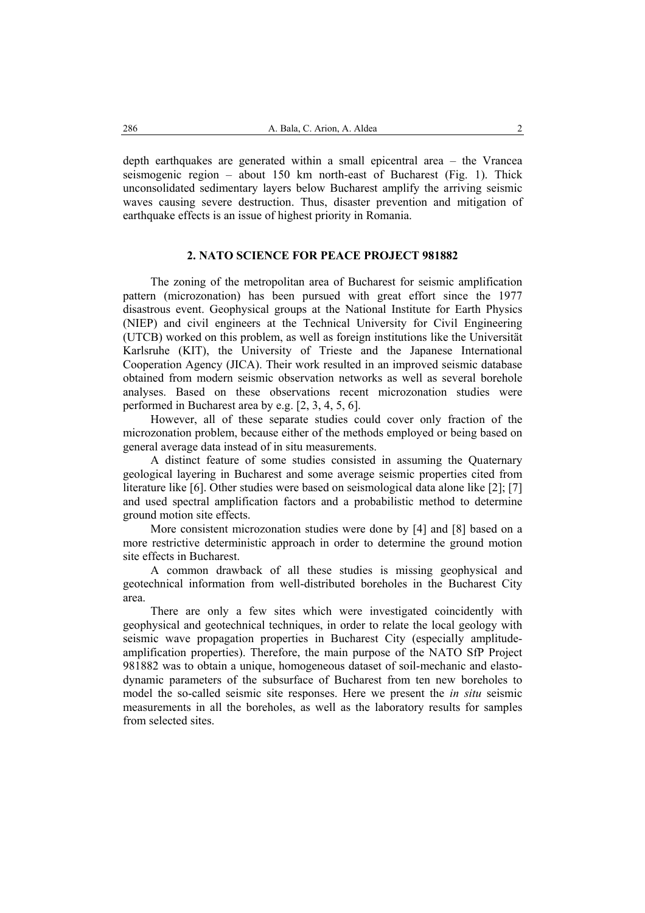depth earthquakes are generated within a small epicentral area – the Vrancea seismogenic region – about 150 km north-east of Bucharest (Fig. 1). Thick unconsolidated sedimentary layers below Bucharest amplify the arriving seismic waves causing severe destruction. Thus, disaster prevention and mitigation of earthquake effects is an issue of highest priority in Romania.

# **2. NATO SCIENCE FOR PEACE PROJECT 981882**

The zoning of the metropolitan area of Bucharest for seismic amplification pattern (microzonation) has been pursued with great effort since the 1977 disastrous event. Geophysical groups at the National Institute for Earth Physics (NIEP) and civil engineers at the Technical University for Civil Engineering (UTCB) worked on this problem, as well as foreign institutions like the Universität Karlsruhe (KIT), the University of Trieste and the Japanese International Cooperation Agency (JICA). Their work resulted in an improved seismic database obtained from modern seismic observation networks as well as several borehole analyses. Based on these observations recent microzonation studies were performed in Bucharest area by e.g. [2, 3, 4, 5, 6].

However, all of these separate studies could cover only fraction of the microzonation problem, because either of the methods employed or being based on general average data instead of in situ measurements.

A distinct feature of some studies consisted in assuming the Quaternary geological layering in Bucharest and some average seismic properties cited from literature like [6]. Other studies were based on seismological data alone like [2]; [7] and used spectral amplification factors and a probabilistic method to determine ground motion site effects.

More consistent microzonation studies were done by [4] and [8] based on a more restrictive deterministic approach in order to determine the ground motion site effects in Bucharest.

A common drawback of all these studies is missing geophysical and geotechnical information from well-distributed boreholes in the Bucharest City area.

There are only a few sites which were investigated coincidently with geophysical and geotechnical techniques, in order to relate the local geology with seismic wave propagation properties in Bucharest City (especially amplitudeamplification properties). Therefore, the main purpose of the NATO SfP Project 981882 was to obtain a unique, homogeneous dataset of soil-mechanic and elastodynamic parameters of the subsurface of Bucharest from ten new boreholes to model the so-called seismic site responses. Here we present the *in situ* seismic measurements in all the boreholes, as well as the laboratory results for samples from selected sites.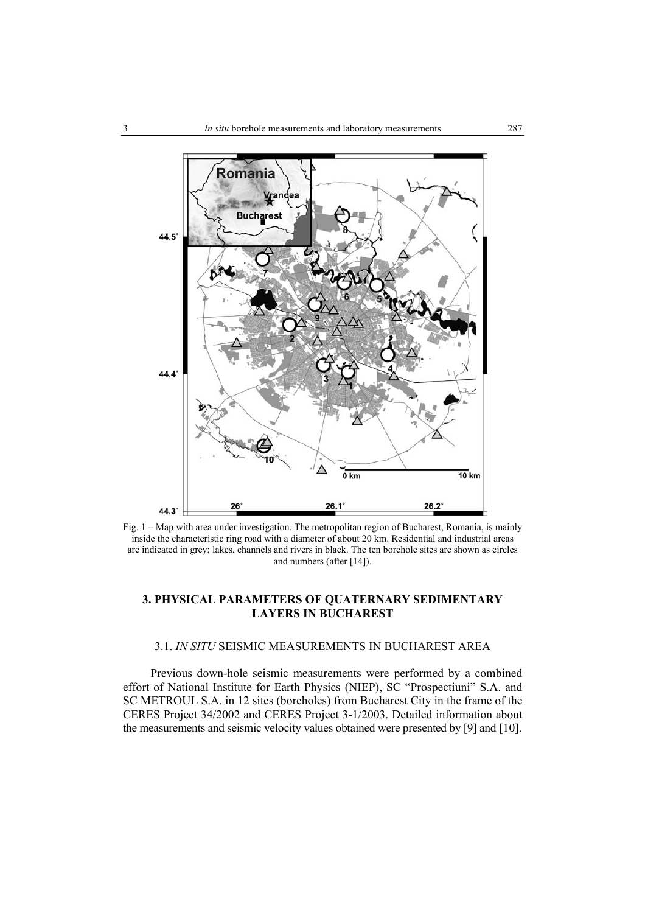

Fig. 1 – Map with area under investigation. The metropolitan region of Bucharest, Romania, is mainly inside the characteristic ring road with a diameter of about 20 km. Residential and industrial areas are indicated in grey; lakes, channels and rivers in black. The ten borehole sites are shown as circles and numbers (after [14]).

# **3. PHYSICAL PARAMETERS OF QUATERNARY SEDIMENTARY LAYERS IN BUCHAREST**

# 3.1. *IN SITU* SEISMIC MEASUREMENTS IN BUCHAREST AREA

Previous down-hole seismic measurements were performed by a combined effort of National Institute for Earth Physics (NIEP), SC "Prospectiuni" S.A. and SC METROUL S.A. in 12 sites (boreholes) from Bucharest City in the frame of the CERES Project 34/2002 and CERES Project 3-1/2003. Detailed information about the measurements and seismic velocity values obtained were presented by [9] and [10].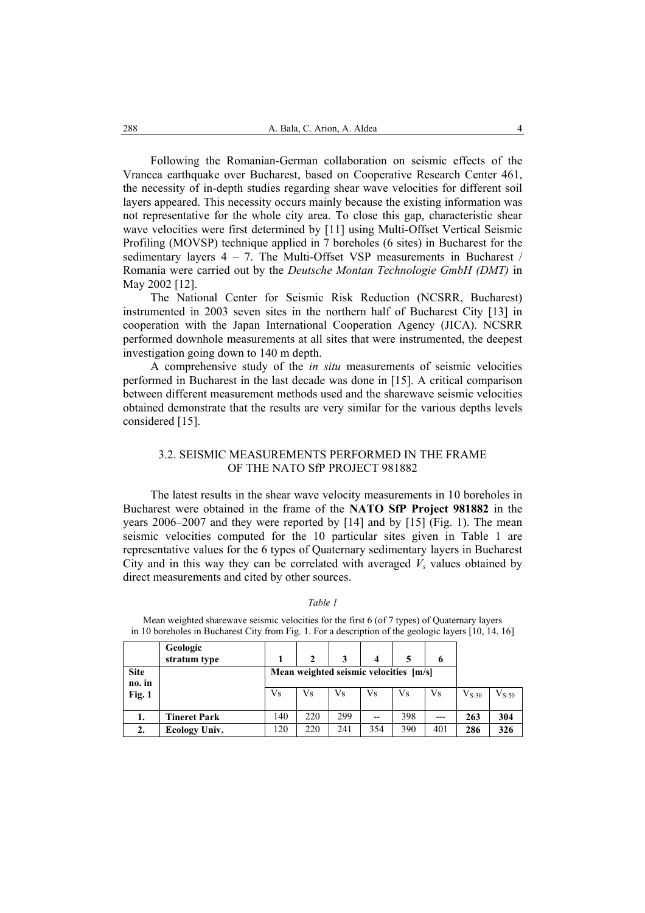Following the Romanian-German collaboration on seismic effects of the Vrancea earthquake over Bucharest, based on Cooperative Research Center 461, the necessity of in-depth studies regarding shear wave velocities for different soil layers appeared. This necessity occurs mainly because the existing information was not representative for the whole city area. To close this gap, characteristic shear wave velocities were first determined by [11] using Multi-Offset Vertical Seismic Profiling (MOVSP) technique applied in 7 boreholes (6 sites) in Bucharest for the sedimentary layers 4 – 7. The Multi-Offset VSP measurements in Bucharest / Romania were carried out by the *Deutsche Montan Technologie GmbH (DMT)* in May 2002 [12].

The National Center for Seismic Risk Reduction (NCSRR, Bucharest) instrumented in 2003 seven sites in the northern half of Bucharest City [13] in cooperation with the Japan International Cooperation Agency (JICA). NCSRR performed downhole measurements at all sites that were instrumented, the deepest investigation going down to 140 m depth.

 A comprehensive study of the *in situ* measurements of seismic velocities performed in Bucharest in the last decade was done in [15]. A critical comparison between different measurement methods used and the sharewave seismic velocities obtained demonstrate that the results are very similar for the various depths levels considered [15].

## 3.2. SEISMIC MEASUREMENTS PERFORMED IN THE FRAME OF THE NATO SfP PROJECT 981882

The latest results in the shear wave velocity measurements in 10 boreholes in Bucharest were obtained in the frame of the **NATO SfP Project 981882** in the years 2006–2007 and they were reported by [14] and by [15] (Fig. 1). The mean seismic velocities computed for the 10 particular sites given in Table 1 are representative values for the 6 types of Quaternary sedimentary layers in Bucharest City and in this way they can be correlated with averaged  $V_s$  values obtained by direct measurements and cited by other sources.

#### *Table 1*

|                       | Geologic<br>stratum type |           |                                        |           |           |     | 6     |            |                       |
|-----------------------|--------------------------|-----------|----------------------------------------|-----------|-----------|-----|-------|------------|-----------------------|
| <b>Site</b><br>no. in |                          |           | Mean weighted seismic velocities [m/s] |           |           |     |       |            |                       |
| Fig. 1                |                          | <b>Vs</b> | Vs                                     | <b>Vs</b> | <b>Vs</b> | Vs  | Vs    | $V_{S-30}$ | $\rm V_{S\text{-}50}$ |
| 1.                    | <b>Tineret Park</b>      | 140       | 220                                    | 299       | $- -$     | 398 | $---$ | 263        | 304                   |
| 2.                    | <b>Ecology Univ.</b>     | 120       | 220                                    | 241       | 354       | 390 | 401   | 286        | 326                   |

Mean weighted sharewave seismic velocities for the first 6 (of 7 types) of Quaternary layers in 10 boreholes in Bucharest City from Fig. 1. For a description of the geologic layers [10, 14, 16]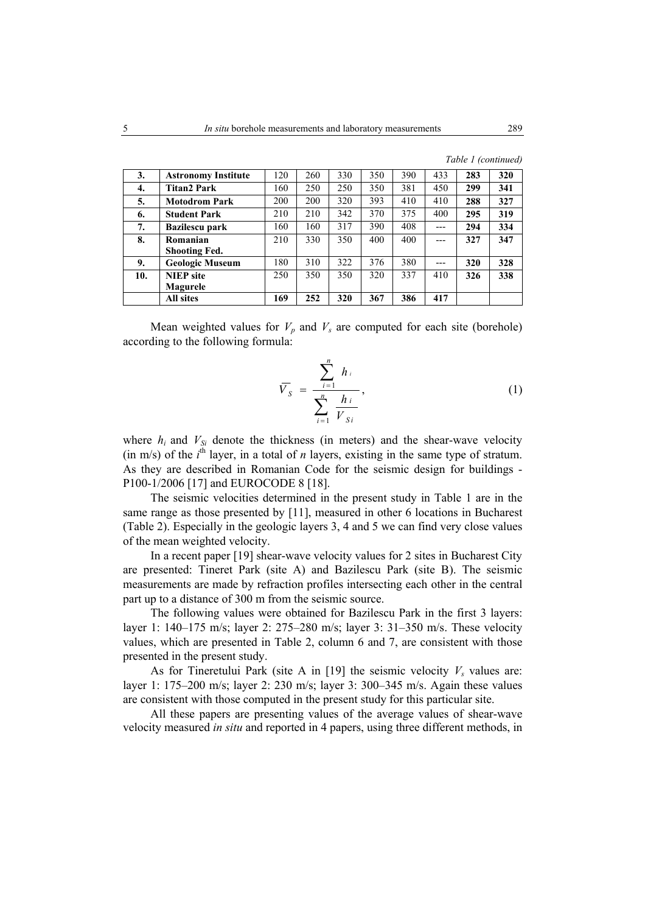| 3.  | <b>Astronomy Institute</b> | 120 | 260 | 330 | 350 | 390 | 433   | 283 | 320 |
|-----|----------------------------|-----|-----|-----|-----|-----|-------|-----|-----|
| 4.  | <b>Titan2 Park</b>         | 160 | 250 | 250 | 350 | 381 | 450   | 299 | 341 |
| 5.  | <b>Motodrom Park</b>       | 200 | 200 | 320 | 393 | 410 | 410   | 288 | 327 |
| 6.  | <b>Student Park</b>        | 210 | 210 | 342 | 370 | 375 | 400   | 295 | 319 |
| 7.  | <b>Bazilescu park</b>      | 160 | 160 | 317 | 390 | 408 | $---$ | 294 | 334 |
| 8.  | Romanian                   | 210 | 330 | 350 | 400 | 400 | $---$ | 327 | 347 |
|     | <b>Shooting Fed.</b>       |     |     |     |     |     |       |     |     |
| 9.  | <b>Geologic Museum</b>     | 180 | 310 | 322 | 376 | 380 | $---$ | 320 | 328 |
| 10. | <b>NIEP</b> site           | 250 | 350 | 350 | 320 | 337 | 410   | 326 | 338 |
|     | Magurele                   |     |     |     |     |     |       |     |     |
|     | All sites                  | 169 | 252 | 320 | 367 | 386 | 417   |     |     |

*Table 1 (continued)* 

Mean weighted values for  $V_p$  and  $V_s$  are computed for each site (borehole) according to the following formula:

$$
\overline{V}_S = \frac{\sum_{i=1}^n h_i}{\sum_{i=1}^n \frac{h_i}{V_{Si}}},
$$
\n(1)

where  $h_i$  and  $V_{Si}$  denote the thickness (in meters) and the shear-wave velocity (in m/s) of the  $i<sup>th</sup>$  layer, in a total of *n* layers, existing in the same type of stratum. As they are described in Romanian Code for the seismic design for buildings - P100-1/2006 [17] and EUROCODE 8 [18].

The seismic velocities determined in the present study in Table 1 are in the same range as those presented by [11], measured in other 6 locations in Bucharest (Table 2). Especially in the geologic layers 3, 4 and 5 we can find very close values of the mean weighted velocity.

In a recent paper [19] shear-wave velocity values for 2 sites in Bucharest City are presented: Tineret Park (site A) and Bazilescu Park (site B). The seismic measurements are made by refraction profiles intersecting each other in the central part up to a distance of 300 m from the seismic source.

The following values were obtained for Bazilescu Park in the first 3 layers: layer 1: 140–175 m/s; layer 2: 275–280 m/s; layer 3: 31–350 m/s. These velocity values, which are presented in Table 2, column 6 and 7, are consistent with those presented in the present study.

As for Tineretului Park (site A in [19] the seismic velocity  $V_s$  values are: layer 1: 175–200 m/s; layer 2: 230 m/s; layer 3: 300–345 m/s. Again these values are consistent with those computed in the present study for this particular site.

All these papers are presenting values of the average values of shear-wave velocity measured *in situ* and reported in 4 papers, using three different methods, in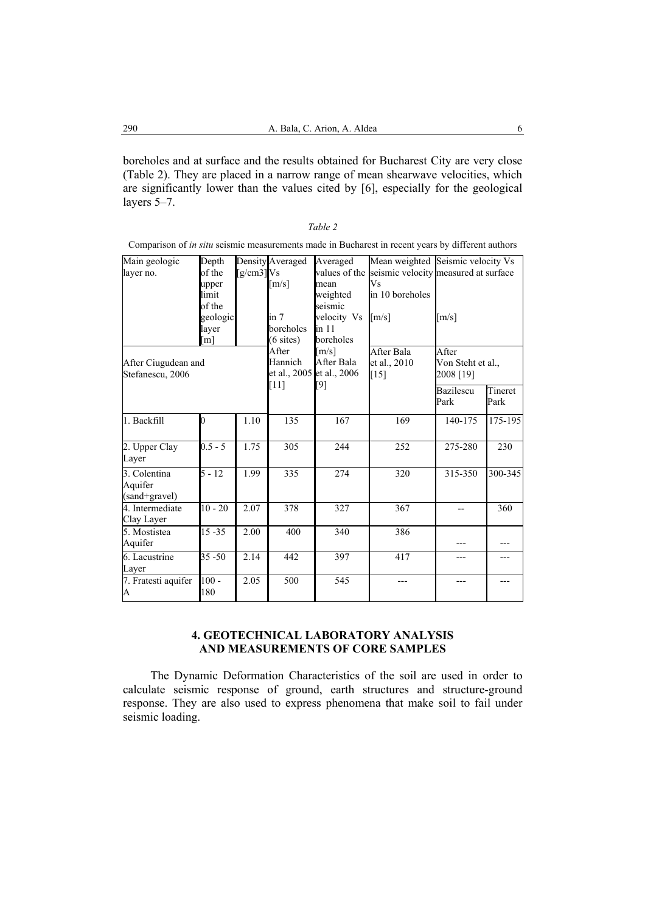boreholes and at surface and the results obtained for Bucharest City are very close (Table 2). They are placed in a narrow range of mean shearwave velocities, which are significantly lower than the values cited by [6], especially for the geological layers 5–7.

| ۰, |  |
|----|--|
|----|--|

Comparison of *in situ* seismic measurements made in Bucharest in recent years by different authors

| Main geologic<br>Depth<br>$[g/cm3]$ Vs<br>of the<br>layer no.<br>upper<br>limit<br>of the<br>geologic<br>layer |                   | Density Averaged<br>$\lceil m/s \rceil$<br>in 7<br>boreholes | Averaged<br>values of the<br>mean<br>weighted<br>seismic<br>velocity Vs<br>in 11 | Vs<br>in 10 boreholes<br>$\lceil m/s \rceil$                                         | Mean weighted Seismic velocity Vs<br>seismic velocity measured at surface<br>$\lceil m/s \rceil$ |                                         |                 |
|----------------------------------------------------------------------------------------------------------------|-------------------|--------------------------------------------------------------|----------------------------------------------------------------------------------|--------------------------------------------------------------------------------------|--------------------------------------------------------------------------------------------------|-----------------------------------------|-----------------|
| After Ciugudean and<br>Stefanescu, 2006                                                                        | $\lceil m \rceil$ |                                                              | $(6 \text{ sites})$<br>After<br>Hannich<br>$[11]$                                | boreholes<br>$\lceil m/s \rceil$<br>After Bala<br>et al., 2005 et al., 2006<br>$[9]$ | After Bala<br>et al., 2010<br>$[15]$                                                             | After<br>Von Steht et al.,<br>2008 [19] |                 |
|                                                                                                                |                   |                                                              |                                                                                  |                                                                                      |                                                                                                  | Bazilescu<br>Park                       | Tineret<br>Park |
| 1. Backfill                                                                                                    | $\overline{0}$    | 1.10                                                         | $\overline{135}$                                                                 | 167                                                                                  | 169                                                                                              | $140 - 175$                             | 175-195         |
| 2. Upper Clay<br>Layer                                                                                         | $0.5 - 5$         | 1.75                                                         | 305                                                                              | 244                                                                                  | 252                                                                                              | 275-280                                 | 230             |
| 3. Colentina<br>Aquifer<br>(sand+gravel)                                                                       | $5 - 12$          | 1.99                                                         | 335                                                                              | 274                                                                                  | 320                                                                                              | 315-350                                 | 300-345         |
| 4. Intermediate<br>Clay Layer                                                                                  | $10 - 20$         | 2.07                                                         | 378                                                                              | 327                                                                                  | 367                                                                                              | $-$                                     | 360             |
| 5. Mostistea<br>Aquifer                                                                                        | $15 - 35$         | 2.00                                                         | 400                                                                              | 340                                                                                  | 386                                                                                              |                                         |                 |
| 6. Lacustrine<br>Layer                                                                                         | $35 - 50$         | 2.14                                                         | 442                                                                              | 397                                                                                  | 417                                                                                              | ---                                     |                 |
| 7. Fratesti aquifer<br>A                                                                                       | $100 -$<br>180    | 2.05                                                         | 500                                                                              | 545                                                                                  | ---                                                                                              | ---                                     |                 |

# **4. GEOTECHNICAL LABORATORY ANALYSIS AND MEASUREMENTS OF CORE SAMPLES**

The Dynamic Deformation Characteristics of the soil are used in order to calculate seismic response of ground, earth structures and structure-ground response. They are also used to express phenomena that make soil to fail under seismic loading.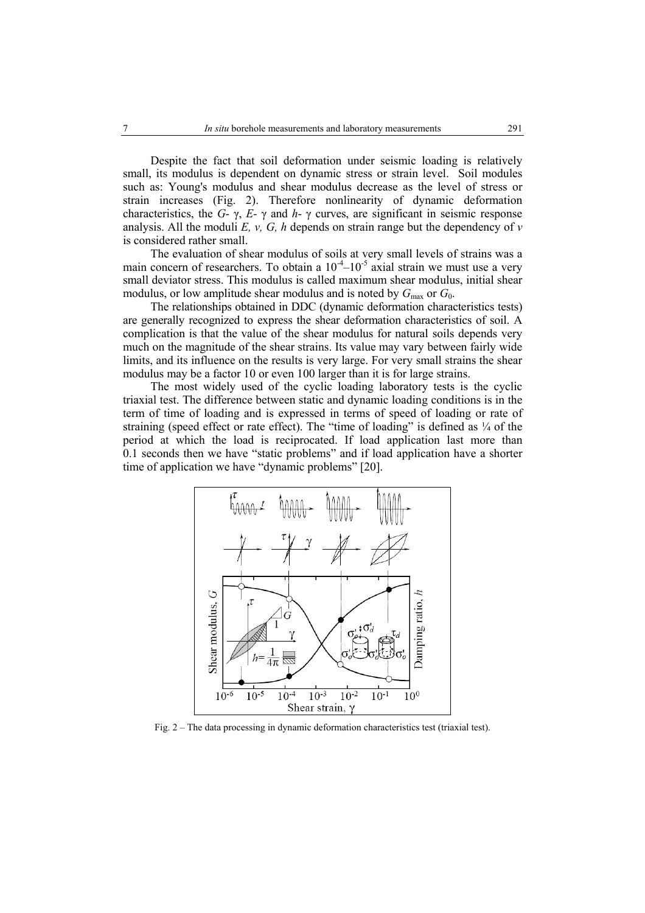Despite the fact that soil deformation under seismic loading is relatively small, its modulus is dependent on dynamic stress or strain level. Soil modules such as: Young's modulus and shear modulus decrease as the level of stress or strain increases (Fig. 2). Therefore nonlinearity of dynamic deformation characteristics, the *G*-  $\gamma$ , *E*-  $\gamma$  and *h*-  $\gamma$  curves, are significant in seismic response analysis. All the moduli *E, ν, G, h* depends on strain range but the dependency of *ν*  is considered rather small.

The evaluation of shear modulus of soils at very small levels of strains was a main concern of researchers. To obtain a  $10^{-4}$ – $10^{-5}$  axial strain we must use a very small deviator stress. This modulus is called maximum shear modulus, initial shear modulus, or low amplitude shear modulus and is noted by  $G_{\text{max}}$  or  $G_0$ .

The relationships obtained in DDC (dynamic deformation characteristics tests) are generally recognized to express the shear deformation characteristics of soil. A complication is that the value of the shear modulus for natural soils depends very much on the magnitude of the shear strains. Its value may vary between fairly wide limits, and its influence on the results is very large. For very small strains the shear modulus may be a factor 10 or even 100 larger than it is for large strains.

The most widely used of the cyclic loading laboratory tests is the cyclic triaxial test. The difference between static and dynamic loading conditions is in the term of time of loading and is expressed in terms of speed of loading or rate of straining (speed effect or rate effect). The "time of loading" is defined as  $\frac{1}{4}$  of the period at which the load is reciprocated. If load application last more than 0.1 seconds then we have "static problems" and if load application have a shorter time of application we have "dynamic problems" [20].



Fig. 2 – The data processing in dynamic deformation characteristics test (triaxial test).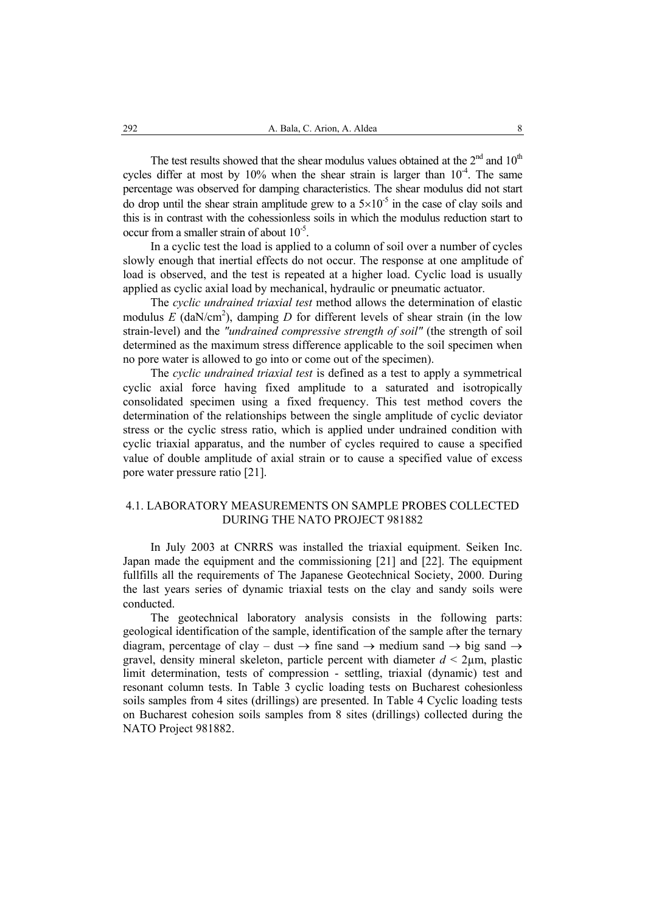The test results showed that the shear modulus values obtained at the  $2<sup>nd</sup>$  and  $10<sup>th</sup>$ cycles differ at most by 10% when the shear strain is larger than  $10^{-4}$ . The same percentage was observed for damping characteristics. The shear modulus did not start do drop until the shear strain amplitude grew to a  $5\times10^{-5}$  in the case of clay soils and this is in contrast with the cohessionless soils in which the modulus reduction start to occur from a smaller strain of about  $10^{-5}$ .

In a cyclic test the load is applied to a column of soil over a number of cycles slowly enough that inertial effects do not occur. The response at one amplitude of load is observed, and the test is repeated at a higher load. Cyclic load is usually applied as cyclic axial load by mechanical, hydraulic or pneumatic actuator.

The *cyclic undrained triaxial test* method allows the determination of elastic modulus  $E$  (daN/cm<sup>2</sup>), damping  $D$  for different levels of shear strain (in the low strain-level) and the *"undrained compressive strength of soil"* (the strength of soil determined as the maximum stress difference applicable to the soil specimen when no pore water is allowed to go into or come out of the specimen).

The *cyclic undrained triaxial test* is defined as a test to apply a symmetrical cyclic axial force having fixed amplitude to a saturated and isotropically consolidated specimen using a fixed frequency. This test method covers the determination of the relationships between the single amplitude of cyclic deviator stress or the cyclic stress ratio, which is applied under undrained condition with cyclic triaxial apparatus, and the number of cycles required to cause a specified value of double amplitude of axial strain or to cause a specified value of excess pore water pressure ratio [21].

# 4.1. LABORATORY MEASUREMENTS ON SAMPLE PROBES COLLECTED DURING THE NATO PROJECT 981882

In July 2003 at CNRRS was installed the triaxial equipment. Seiken Inc. Japan made the equipment and the commissioning [21] and [22]. The equipment fullfills all the requirements of The Japanese Geotechnical Society, 2000. During the last years series of dynamic triaxial tests on the clay and sandy soils were conducted.

The geotechnical laboratory analysis consists in the following parts: geological identification of the sample, identification of the sample after the ternary diagram, percentage of clay – dust  $\rightarrow$  fine sand  $\rightarrow$  medium sand  $\rightarrow$  big sand  $\rightarrow$ gravel, density mineral skeleton, particle percent with diameter  $d \leq 2 \mu m$ , plastic limit determination, tests of compression - settling, triaxial (dynamic) test and resonant column tests. In Table 3 cyclic loading tests on Bucharest cohesionless soils samples from 4 sites (drillings) are presented. In Table 4 Cyclic loading tests on Bucharest cohesion soils samples from 8 sites (drillings) collected during the NATO Project 981882.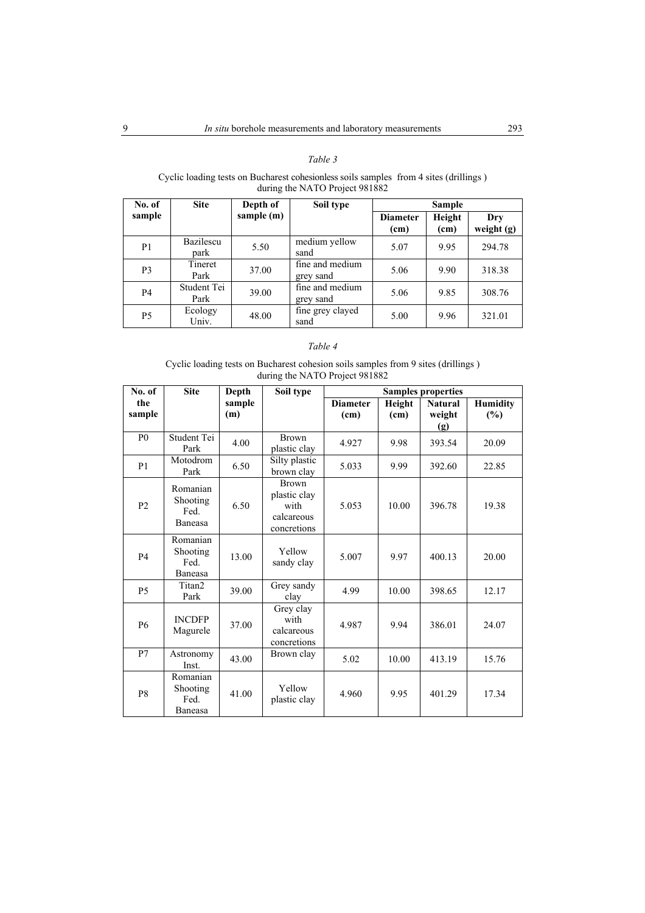### *Table 3*

#### Cyclic loading tests on Bucharest cohesionless soils samples from 4 sites (drillings ) during the NATO Project 981882

| No. of         | <b>Site</b>         | Depth of   | Soil type                    | <b>Sample</b>           |                |                     |
|----------------|---------------------|------------|------------------------------|-------------------------|----------------|---------------------|
| sample         |                     | sample (m) |                              | <b>Diameter</b><br>(cm) | Height<br>(cm) | Dry<br>weight $(g)$ |
| P <sub>1</sub> | Bazilescu<br>park   | 5.50       | medium yellow<br>sand        | 5.07                    | 9.95           | 294.78              |
| P <sub>3</sub> | Tineret<br>Park     | 37.00      | fine and medium<br>grey sand | 5.06                    | 9.90           | 318.38              |
| <b>P4</b>      | Student Tei<br>Park | 39.00      | fine and medium<br>grey sand | 5.06                    | 9.85           | 308.76              |
| P <sub>5</sub> | Ecology<br>Univ.    | 48.00      | fine grey clayed<br>sand     | 5.00                    | 9.96           | 321.01              |

### *Table 4*

### Cyclic loading tests on Bucharest cohesion soils samples from 9 sites (drillings ) during the NATO Project 981882

| No. of         | <b>Site</b>                                    | Depth         | Soil type                                                         | <b>Samples properties</b> |                |                                 |                           |  |
|----------------|------------------------------------------------|---------------|-------------------------------------------------------------------|---------------------------|----------------|---------------------------------|---------------------------|--|
| the<br>sample  |                                                | sample<br>(m) |                                                                   | <b>Diameter</b><br>(cm)   | Height<br>(cm) | <b>Natural</b><br>weight<br>(g) | <b>Humidity</b><br>$(\%)$ |  |
| P()            | Student Tei<br>Park                            | 4.00          | <b>Brown</b><br>plastic clay                                      | 4.927                     | 9.98           | 393.54                          | 20.09                     |  |
| P <sub>1</sub> | Motodrom<br>Park                               | 6.50          | Silty plastic<br>brown clay                                       | 5.033                     | 9.99           | 392.60                          | 22.85                     |  |
| P <sub>2</sub> | Romanian<br>Shooting<br>Fed.<br><b>Baneasa</b> | 6.50          | <b>Brown</b><br>plastic clay<br>with<br>calcareous<br>concretions | 5.053                     | 10.00          | 396.78                          | 19.38                     |  |
| <b>P4</b>      | Romanian<br>Shooting<br>Fed.<br>Baneasa        | 13.00         | Yellow<br>sandy clay                                              | 5.007                     | 9.97           | 400.13                          | 20.00                     |  |
| <b>P5</b>      | Titan2<br>Park                                 | 39.00         | Grey sandy<br>clay                                                | 4.99                      | 10.00          | 398.65                          | 12.17                     |  |
| <b>P6</b>      | <b>INCDFP</b><br>Magurele                      | 37.00         | Grey clay<br>with<br>calcareous<br>concretions                    | 4.987                     | 9.94           | 386.01                          | 24.07                     |  |
| P7             | Astronomy<br>Inst.                             | 43.00         | Brown clay                                                        | 5.02                      | 10.00          | 413.19                          | 15.76                     |  |
| P <sub>8</sub> | Romanian<br>Shooting<br>Fed.<br>Baneasa        | 41.00         | Yellow<br>plastic clay                                            | 4.960                     | 9.95           | 401.29                          | 17.34                     |  |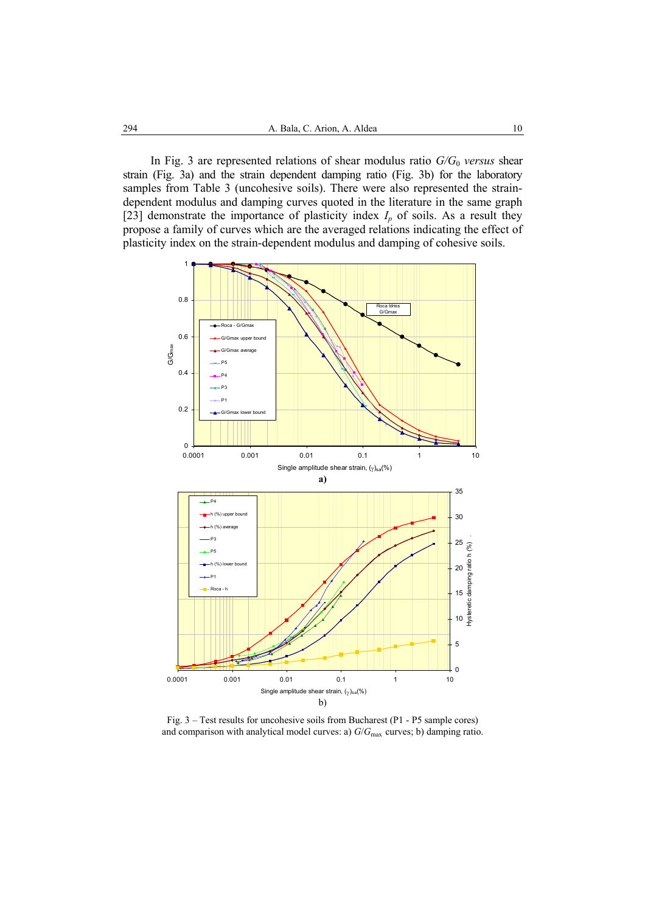In Fig. 3 are represented relations of shear modulus ratio  $G/G_0$  *versus* shear strain (Fig. 3a) and the strain dependent damping ratio (Fig. 3b) for the laboratory samples from Table 3 (uncohesive soils). There were also represented the straindependent modulus and damping curves quoted in the literature in the same graph [23] demonstrate the importance of plasticity index  $I_p$  of soils. As a result they propose a family of curves which are the averaged relations indicating the effect of plasticity index on the strain-dependent modulus and damping of cohesive soils.



Fig. 3 – Test results for uncohesive soils from Bucharest (P1 - P5 sample cores) and comparison with analytical model curves: a)  $G/G_{\text{max}}$  curves; b) damping ratio.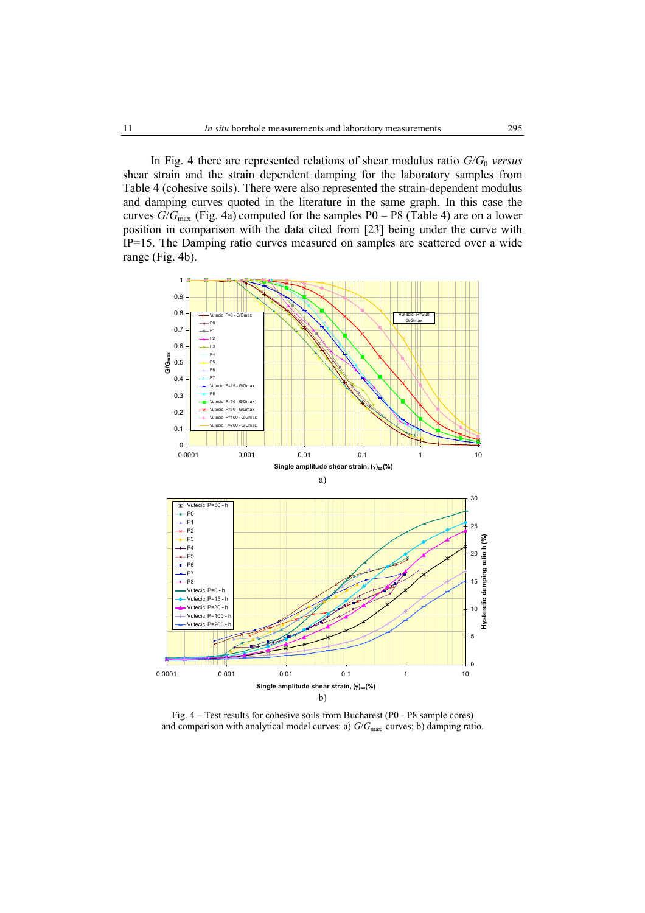In Fig. 4 there are represented relations of shear modulus ratio  $G/G_0$  *versus* shear strain and the strain dependent damping for the laboratory samples from Table 4 (cohesive soils). There were also represented the strain-dependent modulus and damping curves quoted in the literature in the same graph. In this case the curves  $G/G_{\text{max}}$  (Fig. 4a) computed for the samples P0 – P8 (Table 4) are on a lower position in comparison with the data cited from [23] being under the curve with IP=15. The Damping ratio curves measured on samples are scattered over a wide range (Fig. 4b).



Fig. 4 – Test results for cohesive soils from Bucharest (P0 - P8 sample cores) and comparison with analytical model curves: a)  $G/G_{\text{max}}$  curves; b) damping ratio.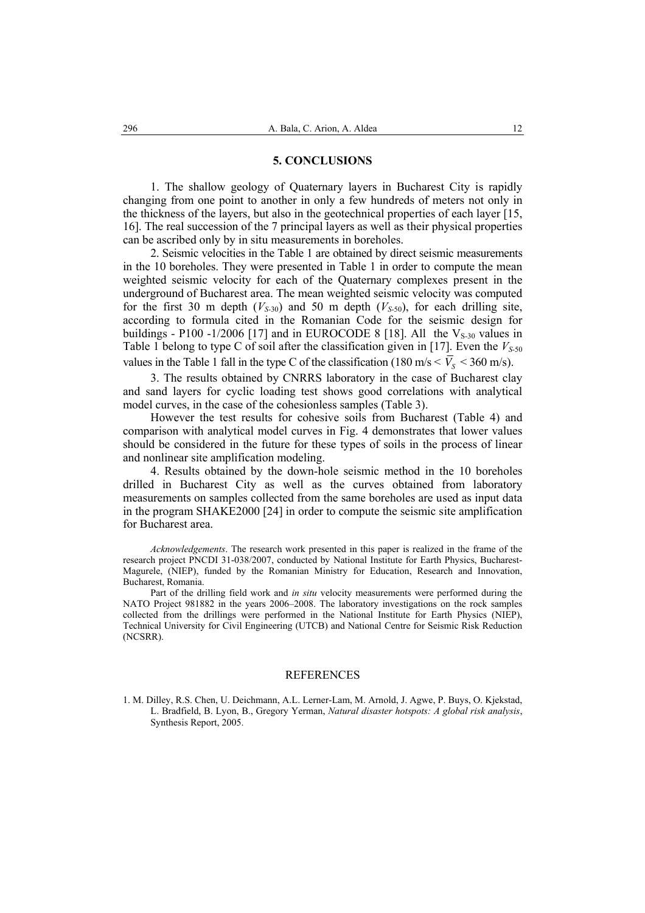#### **5. CONCLUSIONS**

1. The shallow geology of Quaternary layers in Bucharest City is rapidly changing from one point to another in only a few hundreds of meters not only in the thickness of the layers, but also in the geotechnical properties of each layer [15, 16]. The real succession of the 7 principal layers as well as their physical properties can be ascribed only by in situ measurements in boreholes.

2. Seismic velocities in the Table 1 are obtained by direct seismic measurements in the 10 boreholes. They were presented in Table 1 in order to compute the mean weighted seismic velocity for each of the Quaternary complexes present in the underground of Bucharest area. The mean weighted seismic velocity was computed for the first 30 m depth  $(V_{S-30})$  and 50 m depth  $(V_{S-50})$ , for each drilling site, according to formula cited in the Romanian Code for the seismic design for buildings - P100 -1/2006 [17] and in EUROCODE 8 [18]. All the  $V_{S-30}$  values in Table 1 belong to type C of soil after the classification given in [17]. Even the  $V_{S-50}$ values in the Table 1 fall in the type C of the classification (180 m/s  $\langle \overline{V}_s \rangle$  < 360 m/s).

3. The results obtained by CNRRS laboratory in the case of Bucharest clay and sand layers for cyclic loading test shows good correlations with analytical model curves, in the case of the cohesionless samples (Table 3).

However the test results for cohesive soils from Bucharest (Table 4) and comparison with analytical model curves in Fig. 4 demonstrates that lower values should be considered in the future for these types of soils in the process of linear and nonlinear site amplification modeling.

4. Results obtained by the down-hole seismic method in the 10 boreholes drilled in Bucharest City as well as the curves obtained from laboratory measurements on samples collected from the same boreholes are used as input data in the program SHAKE2000 [24] in order to compute the seismic site amplification for Bucharest area.

*Acknowledgements*. The research work presented in this paper is realized in the frame of the research project PNCDI 31-038/2007, conducted by National Institute for Earth Physics, Bucharest-Magurele, (NIEP), funded by the Romanian Ministry for Education, Research and Innovation, Bucharest, Romania.

Part of the drilling field work and *in situ* velocity measurements were performed during the NATO Project 981882 in the years 2006–2008. The laboratory investigations on the rock samples collected from the drillings were performed in the National Institute for Earth Physics (NIEP), Technical University for Civil Engineering (UTCB) and National Centre for Seismic Risk Reduction (NCSRR).

#### REFERENCES

1. M. Dilley, R.S. Chen, U. Deichmann, A.L. Lerner-Lam, M. Arnold, J. Agwe, P. Buys, O. Kjekstad, L. Bradfield, B. Lyon, B., Gregory Yerman, *Natural disaster hotspots: A global risk analysis*, Synthesis Report, 2005.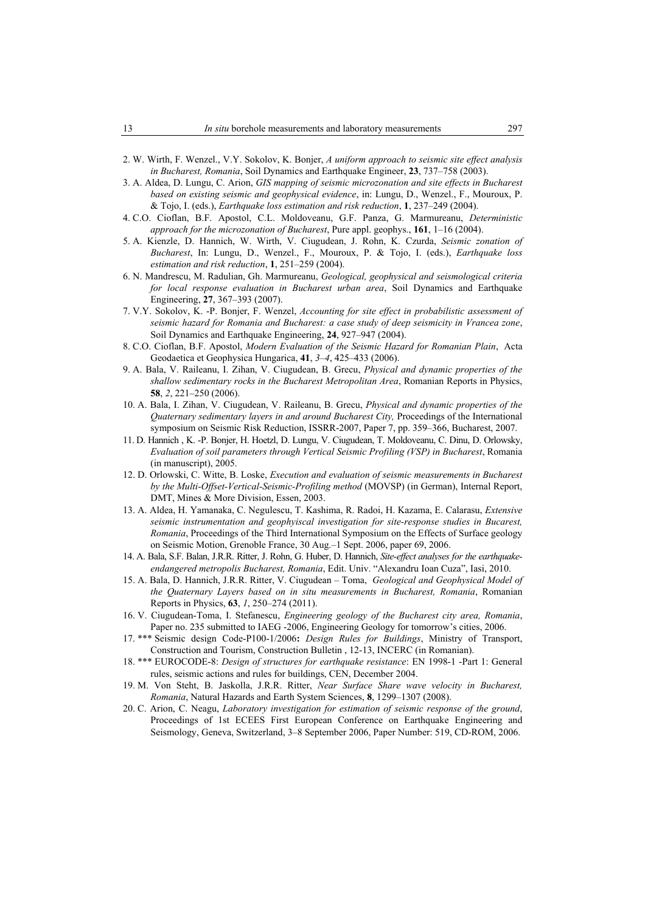- 2. W. Wirth, F. Wenzel., V.Y. Sokolov, K. Bonjer, *A uniform approach to seismic site effect analysis in Bucharest, Romania*, Soil Dynamics and Earthquake Engineer, **23**, 737–758 (2003).
- 3. A. Aldea, D. Lungu, C. Arion, *GIS mapping of seismic microzonation and site effects in Bucharest based on existing seismic and geophysical evidence*, in: Lungu, D., Wenzel., F., Mouroux, P. & Tojo, I. (eds.), *Earthquake loss estimation and risk reduction*, **1**, 237–249 (2004).
- 4. C.O. Cioflan, B.F. Apostol, C.L. Moldoveanu, G.F. Panza, G. Marmureanu, *Deterministic approach for the microzonation of Bucharest*, Pure appl. geophys., **161**, 1–16 (2004).
- 5. A. Kienzle, D. Hannich, W. Wirth, V. Ciugudean, J. Rohn, K. Czurda, *Seismic zonation of Bucharest*, In: Lungu, D., Wenzel., F., Mouroux, P. & Tojo, I. (eds.), *Earthquake loss estimation and risk reduction*, **1**, 251–259 (2004).
- 6. N. Mandrescu, M. Radulian, Gh. Marmureanu, *Geological, geophysical and seismological criteria for local response evaluation in Bucharest urban area*, Soil Dynamics and Earthquake Engineering, **27**, 367–393 (2007).
- 7. V.Y. Sokolov, K. -P. Bonjer, F. Wenzel, *Accounting for site effect in probabilistic assessment of seismic hazard for Romania and Bucharest: a case study of deep seismicity in Vrancea zone*, Soil Dynamics and Earthquake Engineering, **24**, 927–947 (2004).
- 8. C.O. Cioflan, B.F. Apostol, *Modern Evaluation of the Seismic Hazard for Romanian Plain*, Acta Geodaetica et Geophysica Hungarica, **41**, *3*–*4*, 425–433 (2006).
- 9. A. Bala, V. Raileanu, I. Zihan, V. Ciugudean, B. Grecu, *Physical and dynamic properties of the shallow sedimentary rocks in the Bucharest Metropolitan Area*, Romanian Reports in Physics, **58**, *2*, 221–250 (2006).
- 10. A. Bala, I. Zihan, V. Ciugudean, V. Raileanu, B. Grecu, *Physical and dynamic properties of the Quaternary sedimentary layers in and around Bucharest City,* Proceedings of the International symposium on Seismic Risk Reduction, ISSRR-2007, Paper 7, pp. 359–366, Bucharest, 2007.
- 11. D. Hannich , K. -P. Bonjer, H. Hoetzl, D. Lungu, V. Ciugudean, T. Moldoveanu, C. Dinu, D. Orlowsky, *Evaluation of soil parameters through Vertical Seismic Profiling (VSP) in Bucharest*, Romania (in manuscript), 2005.
- 12. D. Orlowski, C. Witte, B. Loske, *Execution and evaluation of seismic measurements in Bucharest by the Multi-Offset-Vertical-Seismic-Profiling method* (MOVSP) (in German), Internal Report, DMT, Mines & More Division, Essen, 2003.
- 13. A. Aldea, H. Yamanaka, C. Negulescu, T. Kashima, R. Radoi, H. Kazama, E. Calarasu, *Extensive seismic instrumentation and geophyiscal investigation for site-response studies in Bucarest, Romania*, Proceedings of the Third International Symposium on the Effects of Surface geology on Seismic Motion, Grenoble France, 30 Aug.–1 Sept. 2006, paper 69, 2006.
- 14. A. Bala, S.F. Balan, J.R.R. Ritter, J. Rohn, G. Huber, D. Hannich, *Site-effect analyses for the earthquakeendangered metropolis Bucharest, Romania*, Edit. Univ. "Alexandru Ioan Cuza", Iasi, 2010.
- 15. A. Bala, D. Hannich, J.R.R. Ritter, V. Ciugudean Toma, *Geological and Geophysical Model of the Quaternary Layers based on in situ measurements in Bucharest, Romania*, Romanian Reports in Physics, **63**, *1*, 250–274 (2011).
- 16. V. Ciugudean-Toma, I. Stefanescu, *Engineering geology of the Bucharest city area, Romania*, Paper no. 235 submitted to IAEG -2006, Engineering Geology for tomorrow's cities, 2006.
- 17. \*\*\* Seismic design Code-P100-1/2006**:** *Design Rules for Buildings*, Ministry of Transport, Construction and Tourism, Construction Bulletin , 12-13, INCERC (in Romanian).
- 18. \*\*\* EUROCODE-8: *Design of structures for earthquake resistance*: EN 1998-1 -Part 1: General rules, seismic actions and rules for buildings, CEN, December 2004.
- 19. M. Von Steht, B. Jaskolla, J.R.R. Ritter, *Near Surface Share wave velocity in Bucharest, Romania*, Natural Hazards and Earth System Sciences, **8**, 1299–1307 (2008).
- 20. C. Arion, C. Neagu, *Laboratory investigation for estimation of seismic response of the ground*, Proceedings of 1st ECEES First European Conference on Earthquake Engineering and Seismology, Geneva, Switzerland, 3–8 September 2006, Paper Number: 519, CD-ROM, 2006.